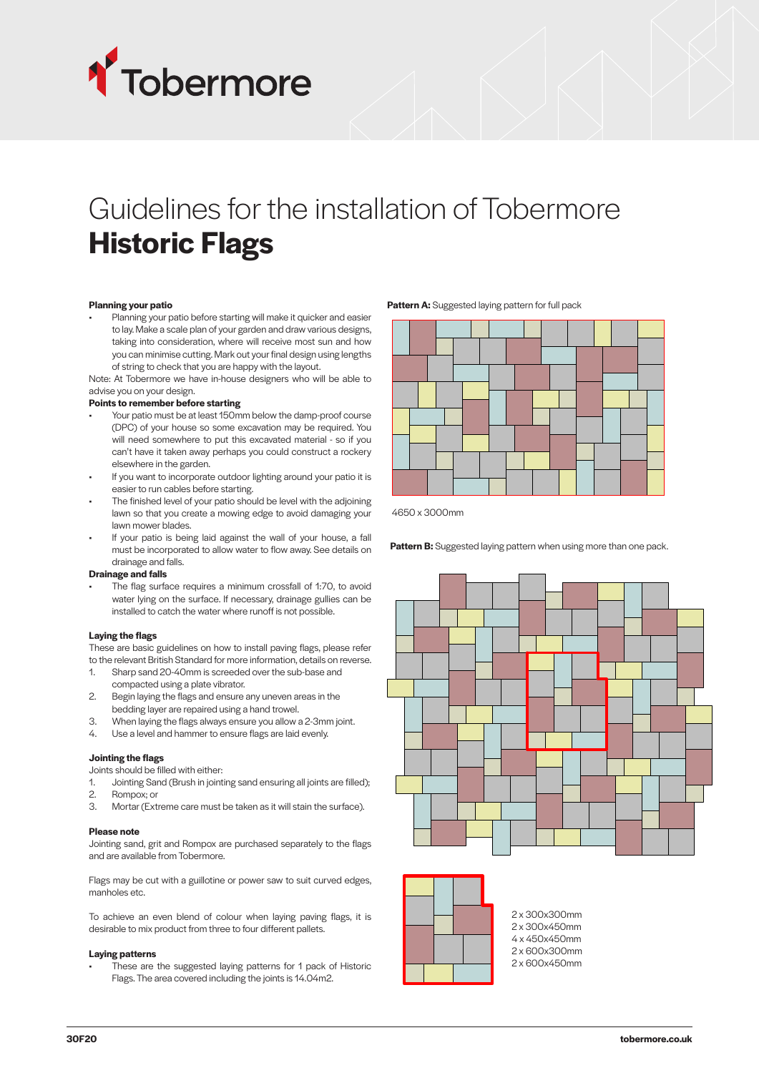

# Guidelines for the installation of Tobermore **Historic Flags**

### **Planning your patio**

• Planning your patio before starting will make it quicker and easier to lay. Make a scale plan of your garden and draw various designs, taking into consideration, where will receive most sun and how you can minimise cutting. Mark out your final design using lengths of string to check that you are happy with the layout.

Note: At Tobermore we have in-house designers who will be able to advise you on your design.

#### **Points to remember before starting**

- Since to remember before starting<br>• Your patio must be at least 150mm below the damp-proof course (DPC) of your house so some excavation may be required. You will need somewhere to put this excavated material - so if you can't have it taken away perhaps you could construct a rockery elsewhere in the garden.
- If you want to incorporate outdoor lighting around your patio it is easier to run cables before starting.
- The finished level of your patio should be level with the adjoining lawn so that you create a mowing edge to avoid damaging your lawn mower blades.
- If your patio is being laid against the wall of your house, a fall must be incorporated to allow water to flow away. See details on drainage and falls.

#### **Drainage and falls**

The flag surface requires a minimum crossfall of 1:70, to avoid water lying on the surface. If necessary, drainage gullies can be installed to catch the water where runoff is not possible.

#### **Laying the flags**

These are basic guidelines on how to install paving flags, please refer to the relevant British Standard for more information, details on reverse.

- 1. Sharp sand 20-40mm is screeded over the sub-base and compacted using a plate vibrator.
- 2. Begin laying the flags and ensure any uneven areas in the bedding layer are repaired using a hand trowel.
- 3. When laying the flags always ensure you allow a 2-3mm joint.
- 4. Use a level and hammer to ensure flags are laid evenly.

# **Jointing the flags**

Joints should be filled with either:

- 1. Jointing Sand (Brush in jointing sand ensuring all joints are filled); 2. Rompox; or
- 3. Mortar (Extreme care must be taken as it will stain the surface).

#### **Please note**

Jointing sand, grit and Rompox are purchased separately to the flags and are available from Tobermore.

Flags may be cut with a guillotine or power saw to suit curved edges, manholes etc. 450 300 300 300 300 300 300

To achieve an even blend of colour when laying paving flags, it is<br>
desirable to mix product from three to four different pallets.<br> **Laying patterns**<br>
These are the suggested laying patterns for 1 pack of Historic<br>
Flags. to achieve an even biend or colour when laying paving<br>desirable to mix product from three to four different pallets.

### **Laying patterns**

These are the suggested laying patterns for 1 pack of Historic Flags. The area covered including the joints is 14.04m2.

Pattern A: Suggested laying pattern for full pack



4650 x 3000mm

Pattern B: Suggested laying pattern when using more than one pack.





300

13

2 @ 300x450mm 2 x 300x300mm 4 @ 450x450mm 2 x 300x450mm 2 @ 600x300mm 4 x 450x450mm 2 @ 600x450mm 2 x 600x450mm2 x 600x300mm